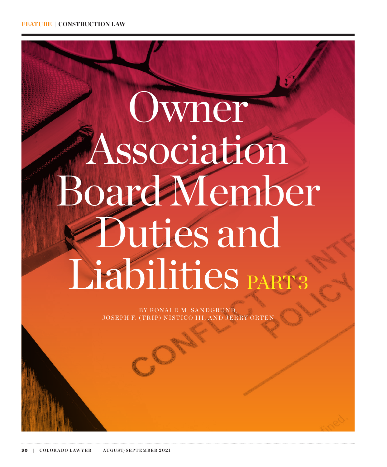# Owner Association Board Member Duties and Liabilities PART3

BY RONALD M. SANDGRUND, JOSEPH F. (TRIP) NISTICO III, AND JERRY ORTEI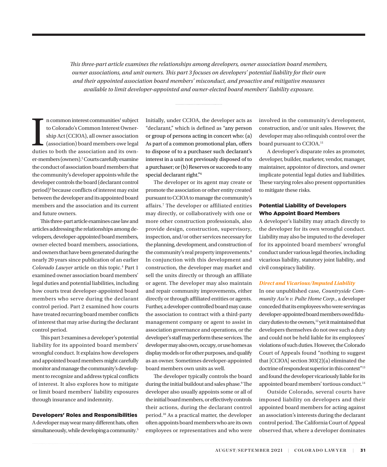*This three-part article examines the relationships among developers, owner association board members, owner associations, and unit owners. This part 3 focuses on developers' potential liability for their own and their appointed association board members' misconduct, and proactive and mitigative measures available to limit developer-appointed and owner-elected board members' liability exposure.*

In common interest communities<sup>1</sup> subject<br>to Colorado's Common Interest Owner-<br>ship Act (CCIOA), all owner association<br>(association) board members owe legal<br>duties to both the association and its ownn common interest communities<sup>1</sup> subject to Colorado's Common Interest Ownership Act (CCIOA), all owner association (association) board members owe legal er-members (owners).2 Courts carefully examine the conduct of association board members that the community's developer appoints while the developer controls the board (declarant control period)<sup>3</sup> because conflicts of interest may exist between the developer and its appointed board members and the association and its current and future owners.

This three-part article examines case law and articles addressing the relationships among developers, developer-appointed board members, owner-elected board members, associations, and owners that have been generated during the nearly 20 years since publication of an earlier Colorado Lawyer article on this topic.<sup>4</sup> Part 1 examined owner association board members' legal duties and potential liabilities, including how courts treat developer-appointed board members who serve during the declarant control period. Part 2 examined how courts have treated recurring board member conflicts of interest that may arise during the declarant control period.

This part 3 examines a developer's potential liability for its appointed board members' wrongful conduct. It explains how developers and appointed board members might carefully monitor and manage the community's development to recognize and address typical conflicts of interest. It also explores how to mitigate or limit board members' liability exposures through insurance and indemnity.

# Developers' Roles and Responsibilities

A developer may wear many different hats, often simultaneously, while developing a community.<sup>5</sup> Initially, under CCIOA, the developer acts as "declarant," which is defined as "any person or group of persons acting in concert who: (a) As part of a common promotional plan, offers to dispose of to a purchaser such declarant's interest in a unit not previously disposed of to a purchaser; or (b) Reserves or succeeds to any special declarant right."6

The developer or its agent may create or promote the association or other entity created pursuant to CCIOA to manage the community's affairs.7 The developer or affiliated entities may directly, or collaboratively with one or more other construction professionals, also provide design, construction, supervisory, inspection, and/or other services necessary for the planning, development, and construction of the community's real property improvements.<sup>8</sup> In conjunction with this development and construction, the developer may market and sell the units directly or through an affiliate or agent. The developer may also maintain and repair community improvements, either directly or through affiliated entities or agents. Further, a developer-controlled board may cause the association to contract with a third-party management company or agent to assist in association governance and operations, or the developer's staff may perform these services. The developer may also own, occupy, or use homes as display models or for other purposes, and qualify as an owner. Sometimes developer-appointed board members own units as well.

The developer typically controls the board during the initial buildout and sales phase.<sup>9</sup> The developer also usually appoints some or all of the initial board members, or effectively controls their actions, during the declarant control period.10 As a practical matter, the developer often appoints board members who are its own employees or representatives and who were involved in the community's development, construction, and/or unit sales. However, the developer may also relinquish control over the board pursuant to CCIOA.<sup>11</sup>

A developer's disparate roles as promoter, developer, builder, marketer, vendor, manager, maintainer, appointor of directors, and owner implicate potential legal duties and liabilities. These varying roles also present opportunities to mitigate these risks.

# Potential Liability of Developers Who Appoint Board Members

A developer's liability may attach directly to the developer for its own wrongful conduct. Liability may also be imputed to the developer for its appointed board members' wrongful conduct under various legal theories, including vicarious liability, statutory joint liability, and civil conspiracy liability.

# *Direct and Vicarious/Imputed Liability*

In one unpublished case, *Countryside Community Ass'n v. Pulte Home Corp.*, a developer conceded that its employees who were serving as developer-appointed board members owed fiduciary duties to the owners,<sup>12</sup> yet it maintained that developers themselves do not owe such a duty and could not be held liable for its employees' violations of such duties. However, the Colorado Court of Appeals found "nothing to suggest that [CCIOA] section 303(2)(a) eliminated the doctrine of respondeat superior in this context"13 and found the developer vicariously liable for its appointed board members' tortious conduct.<sup>14</sup>

Outside Colorado, several courts have imposed liability on developers and their appointed board members for acting against an association's interests during the declarant control period. The California Court of Appeal observed that, where a developer dominates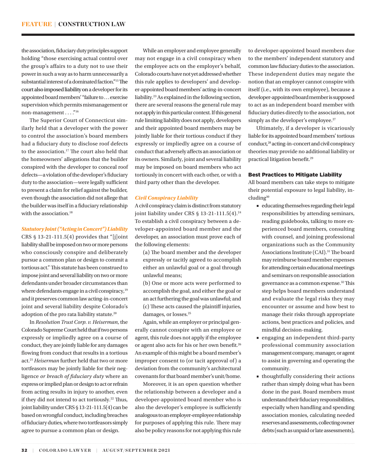the association, fiduciary duty principles support holding "those exercising actual control over the group's affairs to a duty not to use their power in such a way as to harm unnecessarily a substantial interest of a dominated faction."15The court also imposed liability on a developer for its appointed board members' "failure to . . . exercise supervision which permits mismanagement or non-management . . . ."16

The Superior Court of Connecticut similarly held that a developer with the power to control the association's board members had a fiduciary duty to disclose roof defects to the association.17 The court also held that the homeowners' allegations that the builder conspired with the developer to conceal roof defects—a violation of the developer's fiduciary duty to the association—were legally sufficient to present a claim for relief against the builder, even though the association did not allege that the builder was itself in a fiduciary relationship with the association.<sup>18</sup>

# *Statutory Joint ("Acting in Concert") Liability*

CRS  $§$  13-21-111.5(4) provides that "[j]oint liability shall be imposed on two or more persons who consciously conspire and deliberately pursue a common plan or design to commit a tortious act." This statute has been construed to impose joint and several liability on two or more defendants under broader circumstances than where defendants engage in a civil conspiracy,<sup>19</sup> and it preserves common law acting-in-concert joint and several liability despite Colorado's adoption of the pro rata liability statute.20

In *Resolution Trust Corp. v. Heiserman*, the Colorado Supreme Court held that if two persons expressly or impliedly agree on a course of conduct, they are jointly liable for any damages flowing from conduct that results in a tortious act.21 *Heiserman* further held that two or more tortfeasors may be jointly liable for their negligence *or breach of fiduciary duty* where an express or implied plan or design to act or refrain from acting results in injury to another, even if they did not intend to act tortiously.<sup>22</sup> Thus, joint liability under CRS § 13-21-111.5(4) can be based on wrongful conduct, including breaches of fiduciary duties, where two tortfeasors simply agree to pursue a common plan or design.

While an employer and employee generally may not engage in a civil conspiracy when the employee acts on the employer's behalf, Colorado courts have not yet addressed whether this rule applies to developers' and developer-appointed board members' acting-in-concert liability.23 As explained in the following section, there are several reasons the general rule may not apply in this particular context. If this general rule limiting liability does not apply, developers and their appointed board members may be jointly liable for their tortious conduct if they expressly or impliedly agree on a course of conduct that adversely affects an association or its owners. Similarly, joint and several liability may be imposed on board members who act tortiously in concert with each other, or with a third party other than the developer.

# *Civil Conspiracy Liability*

A civil conspiracy claim is distinct from statutory joint liability under CRS  $\S$  13-21-111.5(4).<sup>24</sup> To establish a civil conspiracy between a developer-appointed board member and the developer, an association must prove each of the following elements:

- (a) The board member and the developer expressly or tacitly agreed to accomplish either an unlawful goal or a goal through unlawful means;
- (b) One or more acts were performed to accomplish the goal, and either the goal or an act furthering the goal was unlawful; and (c) These acts caused the plaintiff injuries, damages, or losses.<sup>25</sup>

Again, while an employer or principal generally cannot conspire with an employee or agent, this rule does not apply if the employee or agent also acts for his or her own benefit.26 An example of this might be a board member's improper consent to (or tacit approval of) a deviation from the community's architectural covenants for that board member's unit/home.

Moreover, it is an open question whether the relationship between a developer and a developer-appointed board member who is also the developer's employee is sufficiently analogous to an employer-employee relationship for purposes of applying this rule. There may also be policy reasons for not applying this rule

to developer-appointed board members due to the members' independent statutory and common law fiduciary duties to the association. These independent duties may negate the notion that an employer cannot conspire with itself (i.e., with its own employee), because a developer-appointed board member is supposed to act as an independent board member with fiduciary duties directly to the association, not simply as the developer's employee.<sup>27</sup>

Ultimately, if a developer is vicariously liable for its appointed board members' tortious conduct,28 acting-in-concert and civil conspiracy theories may provide no additional liability or practical litigation benefit.29

# Best Practices to Mitigate Liability

All board members can take steps to mitigate their potential exposure to legal liability, including<sup>30</sup>

- educating themselves regarding their legal responsibilities by attending seminars, reading guidebooks, talking to more experienced board members, consulting with counsel, and joining professional organizations such as the Community Associations Institute (CAI).<sup>31</sup> The board may reimburse board member expenses for attending certain educational meetings and seminars on responsible association governance as a common expense.32 This step helps board members understand and evaluate the legal risks they may encounter or assume and how best to manage their risks through appropriate actions, best practices and policies, and mindful decision-making.
- engaging an independent third-party professional community association management company, manager, or agent to assist in governing and operating the community.
- thoughtfully considering their actions rather than simply doing what has been done in the past. Board members must understand their fiduciary responsibilities, especially when handling and spending association monies, calculating needed reserves and assessments, collecting owner debts (such as unpaid or late assessments),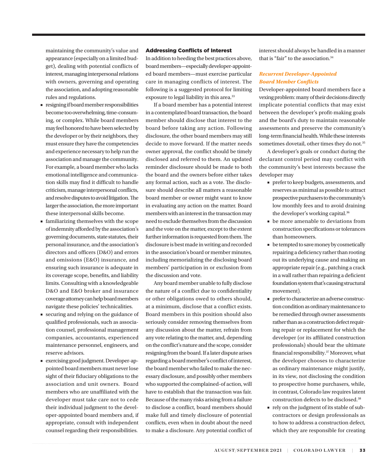maintaining the community's value and appearance (especially on a limited budget), dealing with potential conflicts of interest, managing interpersonal relations with owners, governing and operating the association, and adopting reasonable rules and regulations.

- resigning if board member responsibilities become too overwhelming, time-consuming, or complex. While board members may feel honored to have been selected by the developer or by their neighbors, they must ensure they have the competencies and experience necessary to help run the association and manage the community. For example, a board member who lacks emotional intelligence and communication skills may find it difficult to handle criticism, manage interpersonal conflicts, and resolve disputes to avoid litigation. The larger the association, the more important these interpersonal skills become.
- familiarizing themselves with the scope of indemnity afforded by the association's governing documents, state statutes, their personal insurance, and the association's directors and officers (D&O) and errors and omissions (E&O) insurance, and ensuring such insurance is adequate in its coverage scope, benefits, and liability limits. Consulting with a knowledgeable D&O and E&O broker and insurance coverage attorney can help board members navigate these policies' technicalities.
- securing and relying on the guidance of qualified professionals, such as association counsel, professional management companies, accountants, experienced maintenance personnel, engineers, and reserve advisors.
- exercising good judgment. Developer-appointed board members must never lose sight of their fiduciary obligations to the association and unit owners. Board members who are unaffiliated with the developer must take care not to cede their individual judgment to the developer-appointed board members and, if appropriate, consult with independent counsel regarding their responsibilities.

# Addressing Conflicts of Interest

In addition to heeding the best practices above, board members—especially developer-appointed board members—must exercise particular care in managing conflicts of interest. The following is a suggested protocol for limiting exposure to legal liability in this area.<sup>33</sup>

If a board member has a potential interest in a contemplated board transaction, the board member should disclose that interest to the board before taking any action. Following disclosure, the other board members may still decide to move forward. If the matter needs owner approval, the conflict should be timely disclosed and referred to them. An updated reminder disclosure should be made to both the board and the owners before either takes any formal action, such as a vote. The disclosure should describe all matters a reasonable board member or owner might want to know in evaluating any action on the matter. Board members with an interest in the transaction may need to exclude themselves from the discussion and the vote on the matter, except to the extent further information is requested from them. The disclosure is best made in writing and recorded in the association's board or member minutes, including memorializing the disclosing board members' participation in or exclusion from the discussion and vote.

Any board member unable to fully disclose the nature of a conflict due to confidentiality or other obligations owed to others should, at a minimum, disclose that a conflict exists. Board members in this position should also seriously consider removing themselves from any discussion about the matter, refrain from any vote relating to the matter, and, depending on the conflict's nature and the scope, consider resigning from the board. If a later dispute arises regarding a board member's conflict of interest, the board member who failed to make the necessary disclosure, and possibly other members who supported the complained-of action, will have to establish that the transaction was fair. Because of the many risks arising from a failure to disclose a conflict, board members should make full and timely disclosure of potential conflicts, even when in doubt about the need to make a disclosure. Any potential conflict of interest should always be handled in a manner that is "fair" to the association.<sup>34</sup>

# *Recurrent Developer-Appointed Board Member Conflicts*

Developer-appointed board members face a vexing problem: many of their decisions directly implicate potential conflicts that may exist between the developer's profit-making goals and the board's duty to maintain reasonable assessments and preserve the community's long-term financial health. While these interests sometimes dovetail, other times they do not.<sup>35</sup>

A developer's goals or conduct during the declarant control period may conflict with the community's best interests because the developer may

- prefer to keep budgets, assessments, and reserves as minimal as possible to attract prospective purchasers to the community's low monthly fees and to avoid draining the developer's working capital.<sup>36</sup>
- be more amenable to deviations from construction specifications or tolerances than homeowners.
- be tempted to save money by cosmetically repairing a deficiency rather than rooting out its underlying cause and making an appropriate repair (e.g., patching a crack in a wall rather than repairing a deficient foundation system that's causing structural movement).
- prefer to characterize an adverse construction condition as ordinary maintenance to be remedied through owner assessments rather than as a construction defect requiring repair or replacement for which the developer (or its affiliated construction professionals) should bear the ultimate financial responsibility.37 Moreover, what the developer chooses to characterize as ordinary maintenance might justify, in its view, not disclosing the condition to prospective home purchasers, while, in contrast, Colorado law requires latent construction defects to be disclosed.38
- rely on the judgment of its stable of subcontractors or design professionals as to how to address a construction defect, which they are responsible for creating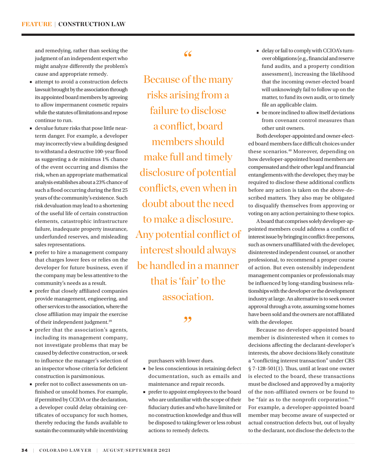and remedying, rather than seeking the judgment of an independent expert who might analyze differently the problem's cause and appropriate remedy.

- attempt to avoid a construction defects lawsuit brought by the association through its appointed board members by agreeing to allow impermanent cosmetic repairs while the statutes of limitations and repose continue to run.
- devalue future risks that pose little nearterm danger. For example, a developer may incorrectly view a building designed to withstand a destructive 100-year flood as suggesting a de minimus 1% chance of the event occurring and dismiss the risk, when an appropriate mathematical analysis establishes about a 23% chance of such a flood occurring during the first 25 years of the community's existence. Such risk devaluation may lead to a shortening of the useful life of certain construction elements, catastrophic infrastructure failure, inadequate property insurance, underfunded reserves, and misleading sales representations.
- prefer to hire a management company that charges lower fees or relies on the developer for future business, even if the company may be less attentive to the community's needs as a result.
- prefer that closely affiliated companies provide management, engineering, and other services to the association, where the close affiliation may impair the exercise of their independent judgment.39
- prefer that the association's agents, including its management company, not investigate problems that may be caused by defective construction, or seek to influence the manager's selection of an inspector whose criteria for deficient construction is parsimonious.
- prefer not to collect assessments on unfinished or unsold homes. For example, if permitted by CCIOA or the declaration, a developer could delay obtaining certificates of occupancy for such homes, thereby reducing the funds available to sustain the community while incentivizing

# "

Because of the many risks arising from a failure to disclose a conflict, board members should make full and timely disclosure of potential conflicts, even when in doubt about the need to make a disclosure. Any potential conflict of interest should always be handled in a manner that is 'fair' to the association.

"

purchasers with lower dues.

- be less conscientious in retaining defect documentation, such as emails and maintenance and repair records.
- prefer to appoint employees to the board who are unfamiliar with the scope of their fiduciary duties and who have limited or no construction knowledge and thus will be disposed to taking fewer or less robust actions to remedy defects.
- delay or fail to comply with CCIOA's turnover obligations (e.g., financial and reserve fund audits, and a property condition assessment), increasing the likelihood that the incoming owner-elected board will unknowingly fail to follow up on the matter, to fund its own audit, or to timely file an applicable claim.
- be more inclined to allow itself deviations from covenant control measures than other unit owners.

Both developer-appointed and owner-elected board members face difficult choices under these scenarios.40 Moreover, depending on how developer-appointed board members are compensated and their other legal and financial entanglements with the developer, they may be required to disclose these additional conflicts before any action is taken on the above-described matters. They also may be obligated to disqualify themselves from approving or voting on any action pertaining to these topics.

A board that comprises solely developer-appointed members could address a conflict of interest issue by bringing in conflict-free persons, such as owners unaffiliated with the developer, disinterested independent counsel, or another professional, to recommend a proper course of action. But even ostensibly independent management companies or professionals may be influenced by long-standing business relationships with the developer or the development industry at large. An alternative is to seek owner approval through a vote, assuming some homes have been sold and the owners are not affiliated with the developer.

Because no developer-appointed board member is disinterested when it comes to decisions affecting the declarant-developer's interests, the above decisions likely constitute a "conflicting interest transaction" under CRS § 7-128-501(1). Thus, until at least one owner is elected to the board, these transactions must be disclosed and approved by a majority of the non-affiliated owners or be found to be "fair as to the nonprofit corporation."<sup>41</sup> For example, a developer-appointed board member may become aware of suspected or actual construction defects but, out of loyalty to the declarant, not disclose the defects to the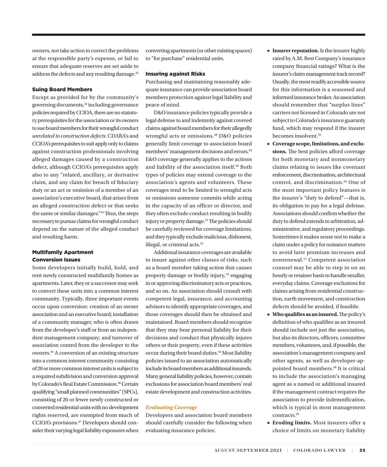owners, not take action to correct the problems at the responsible party's expense, or fail to ensure that adequate reserves are set aside to address the defects and any resulting damage.<sup>42</sup>

# Suing Board Members

Except as provided for by the community's governing documents,<sup>43</sup> including governance policies required by CCIOA, there are no statutory prerequisites for the association or its owners to sue board members for their wrongful conduct *unrelated to construction defects*. CDARA's and CCIOA's prerequisites to suit apply only to claims against construction professionals involving alleged damages caused by a construction defect, although CCIOA's prerequisites apply also to any "related, ancillary, or derivative claim, and any claim for breach of fiduciary duty or an act or omission of a member of an association's executive board, that arises from an alleged construction defect or that seeks the same or similar damages."44 Thus, the steps necessary to pursue claims for wrongful conduct depend on the nature of the alleged conduct and resulting harm.

# Multifamily Apartment Conversion Issues

Some developers initially build, hold, and rent newly constructed multifamily homes as apartments. Later, they or a successor may seek to convert these units into a common interest community. Typically, three important events occur upon conversion: creation of an owner association and an executive board; installation of a community manager, who is often drawn from the developer's staff or from an independent management company; and turnover of association control from the developer to the owners.45 A conversion of an existing structure into a common interest community consisting of 20 or more common interest units is subject to a required subdivision and conversion approval by Colorado's Real Estate Commission.<sup>46</sup> Certain qualifying "small planned communities" (SPCs), consisting of 20 or fewer newly constructed or converted residential units with no development rights reserved, are exempted from much of CCIOA's provisions.47 Developers should consider their varying legal liability exposures when converting apartments (or other existing spaces) to "for purchase" residential units.

# Insuring against Risks

Purchasing and maintaining reasonably adequate insurance can provide association board members protection against legal liability and peace of mind.

D&O insurance policies typically provide a legal defense to and indemnity against covered claims against board members for their allegedly wrongful acts or omissions.48 D&O policies generally limit coverage to association board members' management decisions and errors.<sup>49</sup> E&O coverage generally applies to the actions and liability of the association itself.<sup>50</sup> Both types of policies may extend coverage to the association's agents and volunteers. These coverages tend to be limited to wrongful acts or omissions someone commits while acting in the capacity of an officer or director, and they often exclude conduct resulting in bodily injury or property damage.51 The policies should be carefully reviewed for coverage limitations, and they typically exclude malicious, dishonest, illegal, or criminal acts.<sup>52</sup>

Additional insurance coverages are available to insure against other classes of risks, such as a board member taking action that causes property damage or bodily injury,<sup>53</sup> engaging in or approving discriminatory acts or practices, and so on. An association should consult with competent legal, insurance, and accounting advisors to identify appropriate coverages, and those coverages should then be obtained and maintained. Board members should recognize that they may bear personal liability for their decisions and conduct that physically injures others or their property, even if these activities occur during their board duties.<sup>54</sup> Most liability policies issued to an association automatically include its board members as additional insureds. Many general liability policies, however, contain exclusions for association board members' real estate development and construction activities.

# *Evaluating Coverage*

Developers and association board members should carefully consider the following when evaluating insurance policies:

- **Insurer reputation.** Is the insurer highly rated by A.M. Best Company's insurance company financial ratings? What is the insurer's claim management track record? Usually, the most readily accessible source for this information is a seasoned and informed insurance broker. An association should remember that "surplus lines" carriers not licensed in Colorado are not subject to Colorado's insurance guaranty fund, which may respond if the insurer becomes insolvent.<sup>55</sup>
- **Coverage scope, limitations, and exclusions.** The best policies afford coverage for both monetary and nonmonetary claims relating to issues like covenant enforcement, discrimination, architectural control, and discrimination.56 One of the most important policy features is the insurer's "duty to defend"—that is, its obligation to pay for a legal defense. Associations should confirm whether the duty to defend extends to arbitration, administrative, and regulatory proceedings. Sometimes it makes sense not to make a claim under a policy for nuisance matters to avoid later premium increases and nonrenewal.57 Competent association counsel may be able to step in on an hourly or retainer basis to handle smaller, everyday claims. Coverage exclusions for claims arising from residential construction, earth movement, and construction defects should be avoided, if feasible.
- **Who qualifies as an insured.** The policy's definition of who qualifies as an insured should include not just the association, but also its directors, officers, committee members, volunteers, and, if possible, the association's management company and other agents, as well as developer-appointed board members.58 It is critical to include the association's managing agent as a named or additional insured if the management contract requires the association to provide indemnification, which is typical in most management contracts.59
- **Eroding limits.** Most insurers offer a choice of limits on monetary liability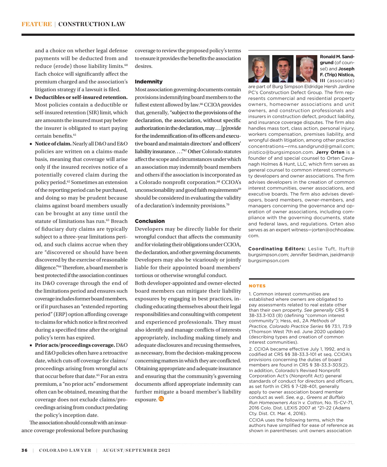and a choice on whether legal defense payments will be deducted from and reduce (erode) those liability limits.<sup>60</sup> Each choice will significantly affect the premium charged and the association's litigation strategy if a lawsuit is filed.

- **Deductibles or self-insured retention.** Most policies contain a deductible or self-insured retention (SIR) limit, which are amounts the insured must pay before the insurer is obligated to start paying certain benefits.61
- **Notice of claim.** Nearly all D&O and E&O policies are written on a claims-made basis, meaning that coverage will arise only if the insured receives notice of a potentially covered claim during the policy period.62 Sometimes an extension of the reporting period can be purchased, and doing so may be prudent because claims against board members usually can be brought at any time until the statute of limitations has run.<sup>63</sup> Breach of fiduciary duty claims are typically subject to a three-year limitations period, and such claims accrue when they are "discovered or should have been discovered by the exercise of reasonable diligence."64 Therefore, a board member is best protected if the association continues its D&O coverage through the end of the limitations period and ensures such coverage includes former board members, or if it purchases an "extended reporting period" (ERP) option affording coverage to claims for which notice is first received during a specified time after the original policy's term has expired.
- **Prior acts/proceedings coverage.** D&O and E&O policies often have a retroactive date, which cuts off coverage for claims/ proceedings arising from wrongful acts that occur before that date.<sup>65</sup> For an extra premium, a "no prior acts" endorsement often can be obtained, meaning that the coverage does not exclude claims/proceedings arising from conduct predating the policy's inception date.

The association should consult with an insurance coverage professional before purchasing coverage to review the proposed policy's terms to ensure it provides the benefits the association desires.

# Indemnity

Most association governing documents contain provisions indemnifying board members to the fullest extent allowed by law.<sup>66</sup> CCIOA provides that, generally, "subject to the provisions of the declaration, the association, without specific authorization in the declaration, may . . . [p]rovide for the indemnification of its officers and executive board and maintain directors' and officers' liability insurance. . . ."67 Other Colorado statutes affect the scope and circumstances under which an association may indemnify board members and others if the association is incorporated as a Colorado nonprofit corporation.<sup>68</sup> CCIOA's unconscionability and good faith requirements<sup>69</sup> should be considered in evaluating the validity of a declaration's indemnity provisions.70

# Conclusion

Developers may be directly liable for their wrongful conduct that affects the community and for violating their obligations under CCIOA, the declaration, and other governing documents. Developers may also be vicariously or jointly liable for their appointed board members' tortious or otherwise wrongful conduct. Both developer-appointed and owner-elected board members can mitigate their liability exposures by engaging in best practices, including educating themselves about their legal responsibilities and consulting with competent and experienced professionals. They must also identify and manage conflicts of interests appropriately, including making timely and adequate disclosures and recusing themselves, as necessary, from the decision-making process concerning matters in which they are conflicted. Obtaining appropriate and adequate insurance and ensuring that the community's governing documents afford appropriate indemnity can further mitigate a board member's liability exposure.



**Ronald M. Sandgrund** (of counsel) and **Joseph F. (Trip) Nistico, III** (associate)

are part of Burg Simpson Eldridge Hersh Jardine PC's Construction Defect Group. The firm represents commercial and residential property owners, homeowner associations and unit owners, and construction professionals and insurers in construction defect, product liability, and insurance coverage disputes. The firm also handles mass tort, class action, personal injury, workers compensation, premises liability, and wrongful death litigation, among other practice concentrations—rms.sandgrund@gmail.com; jnistico@burgsimpson.com. **Jerry Orten** is a founder of and special counsel to Orten Cavanagh Holmes & Hunt, LLC, which firm serves as general counsel to common interest community developers and owner associations. The firm advises developers in the creation of common interest communities, owner associations, and executive boards. The firm also advises developers, board members, owner-members, and managers concerning the governance and operation of owner associations, including compliance with the governing documents, state and federal laws, and regulations. Orten also serves as an expert witness—jorten@ochhoalaw. com.

**Coordinating Editors:** Leslie Tuft, ltuft@ burgsimpson.com; Jennifer Seidman, jseidman@ burgsimpson.com

### NOTES

1. Common interest communities are established where owners are obligated to pay assessments related to real estate other than their own property. *See generally* CRS § 38-33.3-103 (8) (defining "common interest community"); Hess, ed., 2A *Methods of Practice, Colorado Practice Series* §§ 73:1, 73:9 (Thomson West 7th ed. June 2020 update) (describing types and creation of common interest communities).

2. CCIOA became effective July 1, 1992, and is codified at CRS §§ 38-33.3-101 et seq. CCIOA's provisions concerning the duties of board members are found in CRS § 38-33.3-303(2). In addition, Colorado's Revised Nonprofit Corporation Act's (Nonprofit Act) general standards of conduct for directors and officers, as set forth in CRS § 7-128-401, generally apply to owner association board member conduct as well. *See, e.g.*, *Greens at Buffalo Run Homeowners Ass'n v. Cotton*, No. 15-CV-71, 2016 Colo. Dist. LEXIS 2007 at \*21–22 (Adams Cty. Dist. Ct. Mar. 4, 2016).

CCIOA uses the following terms, which the authors have simplified for ease of reference as shown in parentheses: unit owners association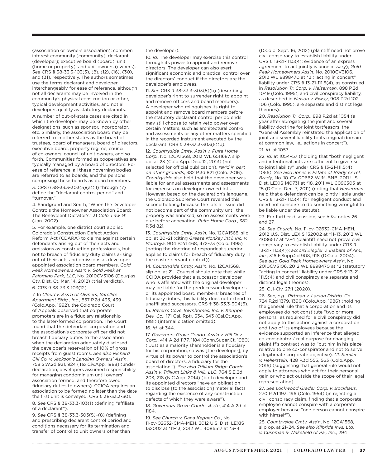(association or owners association); common interest community (community); declarant (developer); executive board (board); unit (home or property); and unit owners (owners). *See* CRS § 38-33.3-103(3), (8), (12), (16), (30), and (31), respectively. The authors sometimes use the terms declarant and developer interchangeably for ease of reference, although not all declarants may be involved in the community's physical construction or other, typical development activities, and not all developers qualify as statutory declarants.

A number of out-of-state cases are cited in which the developer may be known by other designations, such as sponsor, incorporator, etc. Similarly, the association board may be referred to in other states as the board of trustees, board of managers, board of directors, executive board, property regime, council of co-owners, council of unit owners, and so forth. Communities formed as cooperatives are typically managed by a board of directors. For ease of reference, all these governing bodies are referred to as boards, and the persons comprising these boards as board members. 3. CRS § 38-33.3-303(5)(a)(II) through (7) define the "declarant control period" and "turnover."

4. Sandgrund and Smith, "When the Developer Controls the Homeowner Association Board: The Benevolent Dictator?," 31 *Colo. Law.* 91 (Jan. 2002).

5. For example, one district court applied Colorado's Construction Defect Action Reform Act (CDARA) to claims against certain defendants arising out of their acts and omissions as construction professionals, but not to breach of fiduciary duty claims arising out of their acts and omissions as developerappointed association board members. *Gold Peak Homeowners Ass'n v. Gold Peak at Palomino Park, LLC*, No. 2010CV3106 (Douglas Cty. Dist. Ct. Mar. 14, 2012) (trial verdicts). 6. CRS § 38-33.3-103(12).

7. In *Cloud v. Ass'n of Owners, Satellite Apartment Bldg., Inc.*, 857 P.2d 435, 439 (Colo.App. 1992), the Colorado Court of Appeals observed that corporate promoters are in a fiduciary relationship to the later-formed corporation. The Court found that the defendant corporation and the association's corporate officer did not breach fiduciary duties to the association when the declaration adequately disclosed the developer's reservation of 10% of gross receipts from guest rooms. *See also Richard Gill Co. v. Jackson's Landing Owners' Ass'n*, 758 S.W.2d 921, 924 (Tex.Civ.App. 1988) (under declaration, developers assumed responsibility for managing condominium until owners' association formed, and therefore owed fiduciary duties to owners). CCIOA requires an association to be formed no later than the date the first unit is conveyed. CRS § 38-33.3-301.

8. *See* CRS § 38-33.3-103(1) (defining "affiliate of a declarant").

9. *See* CRS § 38-33.3-303(5)–(8) (defining and prescribing declarant control period and conditions necessary for its termination and transfer of control to unit owners other than

the developer).

10. *Id.* The developer may exercise this control through its power to appoint and remove directors. The developer can also exert significant economic and practical control over the directors' conduct if the directors are the developer's employees.

11. *See* CRS § 38-33.3-303(5)(b) (describing developer's right to surrender right to appoint and remove officers and board members). A developer who relinquishes its right to appoint and remove board members before the statutory declarant control period ends may still choose to retain veto power over certain matters, such as architectural control and assessments or any other matters specified in the recorded instrument executed by the declarant. CRS § 38-33.3-303(5)(b).

12. *Countryside Cmty. Ass'n v. Pulte Home Corp.*, No. 12CA1568, 2013 WL 6511687, slip op. at 23 (Colo.App. Dec. 12, 2013) (not selected for official publication), *rev'd in part on other grounds*, 382 P.3d 821 (Colo. 2016). *Countryside* also held that the developer was liable for annual assessments and assessments for expenses on developer-owned lots. However, based on the declaration's language, the Colorado Supreme Court reversed this second holding because the lots at issue did not become part of the community until the properly was annexed, so no assessments were due before annexation. *Pulte Home Corp.*, 382 P.3d 821.

13. *Countryside Cmty. Ass'n*, No. 12CA1568, slip op. at 20–21 (citing *Grease Monkey Int'l, Inc. v. Montoya*, 904 P.2d 468, 472–73 (Colo. 1995) (noting the doctrine of respondeat superior applies to claims for breach of fiduciary duty in the master-servant context)).

14. *Countryside Cmty. Ass'n*, No. 12CA1568, slip op. at 21. Counsel should note that while CCIOA provides that a successor developer who is affiliated with the original developer may be liable for the predecessor developer's or its appointed board members' breaches of fiduciary duties, this liability does not extend to unaffiliated successors. CRS § 38-33.3-304(5).

15. *Raven's Cove Townhomes, Inc. v. Knuppe Dev. Co.*, 171 Cal. Rptr. 334, 343 (Cal.Ct.App. 1981) (internal citation omitted).

### 16. *Id.* at 344.

17. *Governors Grove Condo. Ass'n v. Hill Dev. Corp.*, 414 A.2d 1177, 1184 (Conn.Super.Ct. 1980) ("Just as a majority shareholder is a fiduciary for his corporation, so was [the developer], by virtue of its power to control the association's board of directors, a fiduciary for the association."). *See also Trillium Ridge Condo. Ass'n v. Trillium Links & Vill., LLC*, 764 S.E.2d 203, 218 (N.C.App. 2014) (both developer and its appointed directors "have an obligation to disclose [to the association] material facts regarding the existence of any construction defects of which they were aware").

18. *Governors Grove Condo. Ass'n*, 414 A.2d at 1184.

19. *See Church v. Dana Kepner Co.*, No. 11-cv-02632-CMA-MEH, 2012 U.S. Dist. LEXIS 132002 at \*11–13, 2012 WL 4086517 at \*3–4

(D.Colo. Sept. 16, 2012) (plaintiff need not prove civil conspiracy to establish liability under CRS § 13-21-111.5(4); evidence of an express agreement to act jointly is unnecessary); *Gold Peak Homeowners Ass'n*, No. 2010CV3106, 2012 WL 8898470 at \*2 ("acting in concert" liability under CRS § 13-21-111.5(4), as construed in *Resolution Tr. Corp. v. Heiserman*, 898 P.2d 1049 (Colo. 1995), and civil conspiracy liability, as described in *Nelson v. Elway*, 908 P.2d 102, 106 (Colo. 1995), are separate and distinct legal theories).

20. *Resolution Tr. Corp.*, 898 P.2d at 1054 (a year after abrogating the joint and several liability doctrine for joint tortfeasors, the "General Assembly reinstated the application of joint and several liability to its original domain at common law, i.e., actions in concert"). 21. *Id.* at 1057.

22. *Id.* at 1054–57 (holding that "both negligent and intentional acts are sufficient to give rise to joint liability" under CRS § 13-21-111.5(4) 1056). *See also Jones v. Estate of Brady ex rel. Brady*, No. 10-CV-00662-WJM-BNB, 2011 U.S. Dist. LEXIS 140731 at \*18, 2011 WL 6096303 at \*5 (D.Colo. Dec. 7, 2011) (noting that *Heiserman* held that a defendant can be jointly liable under CRS § 13-21-111.5(4) for negligent conduct and need not conspire to do something wrongful to be liable under the statute).

23. For further discussion, see *infra* notes 26 and 27.

24. *See Church*, No. 11-cv-02632-CMA-MEH, 2012 U.S. Dist. LEXIS 132002 at \*11–13, 2012 WL 4086517 at \*3–4 (plaintiff need not prove civil conspiracy to establish liability under CRS § 13-21-111.5(4)); *accord Ziegler v. Inabata of Am., Inc.*, 316 F.Supp.2d 908, 918 (D.Colo. 2004). *See also Gold Peak Homeowners Ass'n*, No. 2010CV3106, 2012 WL 8898470 at \*2 (statutory "acting in concert" liability under CRS § 13-21- 111.5(4) and civil conspiracy are separate and distinct legal theories).

### 25. CJI-Civ. 27:1 (2020).

26. *See, e.g.*, *Pittman v. Larson Distrib. Co.*, 724 P.2d 1379, 1390 (Colo.App. 1986) (holding the general rule that a corporation and its employees do not constitute "two or more persons" as required for a civil conspiracy did not apply to this action against a corporation and two of its employees because the evidence supported an inference that alleged co-conspirators' real purpose for changing plaintiff's contract was to "put him in his place" relative to one co-conspirator and not to serve a legitimate corporate objective). *Cf. Semler v. Hellerstein*, 428 P.3d 555, 563 (Colo.App. 2016) (suggesting that general rule would not apply to attorneys who act for their personal gain or who act outside the scope of their legal representation).

27. *See Lockwood Grader Corp. v. Bockhaus*, 270 P.2d 193, 196 (Colo. 1954) (in rejecting a civil conspiracy claim, finding that a corporate employee cannot conspire with a corporate employer because "one person cannot conspire with himself").

28. *Countryside Cmty. Ass'n*, No. 12CA1568, slip op. at 21–24. *See also Kilbride Invs. Ltd. v. Cushman & Wakefield of Pa., Inc.*, 294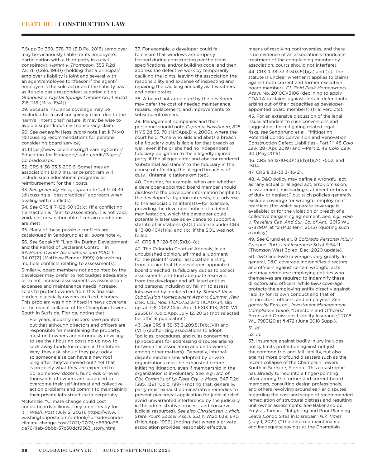F.Supp.3d 369, 378–79 (E.D.Pa. 2018) (employer may be vicariously liable for its employee's participation with a third party in a civil conspiracy); *Hamm v. Thompson*, 353 P.2d 73, 76 (Colo. 1960) (holding that a principal/ employer's liability is joint and several with an agent/employee tortfeasor if the agent/ employee is the sole actor and the liability has as its sole basis respondeat superior, citing *Granquist v. Crystal Springs Lumber Co.*, 1 So.2d 216, 218 (Miss. 1941)).

29. Because insurance coverage may be excluded for a civil conspiracy claim due to the harm's "intentional" nature, it may be wise to avoid a superfluous civil conspiracy claim.

30. *See generally* Hess, *supra* note 1 at § 74:40 (discussing recommendations for persons considering board service).

31. https://www.caionline.org/LearningCenter/ Education-for-Managers/state-credit/Pages/ Colorado.aspx.

32. CRS § 38-33.3-209.6. Sometimes an association's D&O insurance program will include such educational programs or reimbursement for their costs.

33. *See generally* Hess, *supra* note 1 at § 74:39 (discussing a "best practices" approach when dealing with conflicts).

34. *See* CRS § 7-128-501(3)(c) (if a conflicting transaction is "fair" to association, it is not void, voidable, or sanctionable if certain conditions are met).

35. Many of these possible conflicts are catalogued in Sandgrund et al., *supra* note 4.

36. *See* Sapakoff, "Liability During Development and the Period of Declarant Control," in 6A *Home Owner Associations and PUDs* § 9A.07[2] (Matthew Bender 1999) (describing multiple conflicts relating to assessments).

Similarly, board members not appointed by the developer may prefer to not budget adequately or to not increase assessments as association expenses and maintenance needs increase, so as to protect owners from this financial burden, especially owners on fixed incomes. This problem was highlighted in news coverage of the recent collapse of the Champlain Towers South in Surfside, Florida, noting that:

For years, industry insiders have pointed out that although directors and officers are responsible for maintaining the property, most unit owners are notoriously unwilling to see their housing costs go up now to sock away funds for repairs in the future. Why, they ask, should they pay today so someone else can have a new roof long after they've moved out? Yet that is precisely what they are expected to do. Somehow, dozens, hundreds or even thousands of owners are supposed to overcome their self-interest and collectiveaction problems and commit to maintaining their private infrastructure in perpetuity.

McKenzie, "Climate change could cost condo boards billions. They aren't ready for it.," *Wash. Post* (July 2, 2021), https://www. washingtonpost.com/outlook/surfside-condoclimate-change-cost/2021/07/01/b6699a98 da76-11eb-9bbb-37c30dcf9363\_story.html.

37. For example, a developer could fail to ensure that windows are properly flashed during construction per the plans, specifications, and/or building code, and then address the defective work by temporarily caulking the joints, leaving the association the responsibility and expense of inspecting and repairing the caulking annually as it weathers and deteriorates.

38. A board not appointed by the developer may defer the cost of needed maintenance, repairs, replacement, and improvements to subsequent owners.

39. Management companies and their personnel should note *Caprer v. Nussbaum*, 825 N.Y.S.2d 55, 70 (N.Y.App.Div. 2006), where the court held, "One who aids and abets a breach of a fiduciary duty is liable for that breach as well, even if he or she had no independent fiduciary obligation to the allegedly injured party, if the alleged aider and abettor rendered 'substantial assistance' to the fiduciary in the course of effecting the alleged breaches of duty." (internal citations omitted).

40. Consider, for example, when and whether a developer-appointed board member should disclose to the developer information helpful to the developer's litigation interests, but adverse to the association's interests—for example, providing the developer notice of a defect manifestation, which the developer could potentially later use as evidence to support a statute of limitations (SOL) defense under CRS § 13-80-104(1)(a) and (b), if the SOL was not tolled.

41. CRS § 7-128-501(3)(b)–(c).

42. The Colorado Court of Appeals, in an unpublished opinion, affirmed a judgment for the plaintiff owner association arising from a claim that the developer-appointed board breached its fiduciary duties to collect assessments and fund adequate reserves from the developer and affiliated entities and persons, including by failing to assess lots owned by a related entity. *Summit View Subdivision Homeowners Ass'n v. Summit View Dev., LLC*, Nos. 11CA0753 and 11CA0754, slip op. at 7–8, 2012 Colo. App. LEXIS 1113, 2012 WL 2855617 (Colo.App. July 12, 2012) (not selected for official publication).

43. *See* CRS § 38-33.3-209.5(1)(b)(VII) and (VIII) (authorizing associations to adopt "policies, procedures, and rules concerning . . . [p]rocedures for addressing disputes arising between the association and unit owners," among other matters). Generally, internal dispute mechanisms adopted by private organizations must be exhausted before initiating litigation, even if membership in the organization is involuntary. *See, e.g.*, *Bd. of Cty. Comm'rs of La Plata Cty. v. Moga*, 947 P.2d 1385, 1391 (Colo. 1997) (noting that, generally, party must exhaust administrative remedies to prevent piecemeal application for judicial relief, avoid unwarranted interference by the judiciary in the administrative process, and conserve judicial resources). *See also Christensen v. Mich. State Youth Soccer Ass'n*, 553 N.W.2d 638, 640 (Mich.App. 1996) (noting that where a private association provides reasonably effective

means of resolving controversies, and there is no evidence of an association's fraudulent treatment of the complaining member by association, courts should not interfere).

44. CRS § 38-33.3-303.5(1)(a) and (b). The statute is unclear whether it applies to claims against both current and former executive board members. *Cf. Gold Peak Homeowners Ass'n*, No. 2010CV3106 (declining to apply CDARA to claims against certain defendants arising out of their capacities as developerappointed board members) (trial verdicts).

45. For an extensive discussion of the legal issues attendant to such conversions and suggestions for mitigating related legal risks, *see* Sandgrund et al., "Mitigating Potential Condo Conversion and Renovation Construction Defect Liabilities—Part 1," 48 *Colo. Law.* 28 (Apr. 2019) and —Part 2, 48 *Colo. Law.*  40 (May 2019).

46. CRS §§ 12-10-501(3)(b)(I)(A), -502, and -504.

47. CRS § 38-33.3-116(2).

48. A D&O policy may define a wrongful act as "any actual or alleged act, error, omission, misstatement, misleading statement or breach of duty or neglect," but such policies generally exclude coverage for wrongful employment practices (for which separate coverage is available) or for the violation or breach of a collective bargaining agreement. *See, e.g.*, *Hale v. Travelers Cas. And Sur. Co. of Am.*, 2015 WL 6737904 at \*2 (M.D.Tenn. 2015) (quoting such a policy).

49. *See* Grund et al., 8 *Colorado Personal Injury Practice: Torts and Insurance* 3d at § 54:11 (Thomson West 3d ed. Dec. 2020 update). 50. D&O and E&O coverages vary greatly. In general, D&O coverage indemnifies directors and officers against certain wrongful acts and may reimburse employing entities who themselves are required to indemnify these directors and officers, while E&O coverage protects the employing entity directly against liability for its own conduct and that of its directors, officers, and employees. *See generally* Fera, ed., *Investment Management Compliance Guide*, "Directors and Officers/ Errors and Omissions Liability Insurance," 2018 WL 7983129 at **1** 472 (June 2018 Supp.).

52. *Id.*

53. Insurance against bodily injury includes policy limits protection against not just the common trip-and-fall liability, but also against more profound disasters such as the recent collapse of the Champlain Towers South in Surfside, Florida. This catastrophe has already turned into a finger-pointing affair among the former and current board members, consulting design professionals, and others revolving around earlier disputes regarding the cost and scope of recommended remediation of structural distress and resulting unit owner assessments. *See* Baker and de Freytas-Tamura, "Infighting and Poor Planning Leave Condo Sites in Disrepair," *N.Y. Times*  (July 1, 2021) ("The deferred maintenance and inadequate savings at the Champlain

<sup>51</sup>. *Id.*